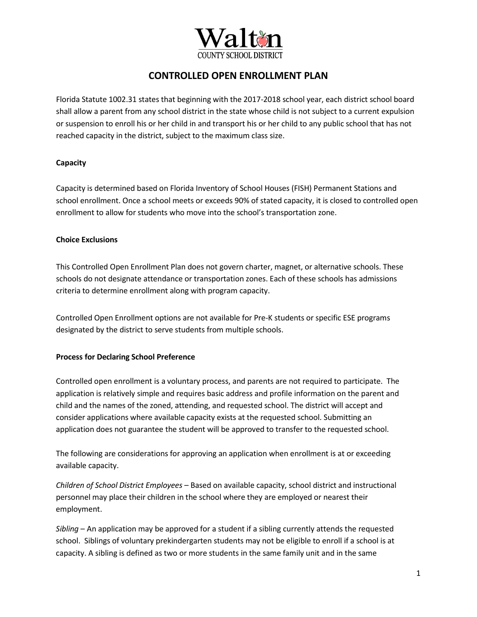

Florida Statute 1002.31 states that beginning with the 2017-2018 school year, each district school board shall allow a parent from any school district in the state whose child is not subject to a current expulsion or suspension to enroll his or her child in and transport his or her child to any public school that has not reached capacity in the district, subject to the maximum class size.

### **Capacity**

Capacity is determined based on Florida Inventory of School Houses (FISH) Permanent Stations and school enrollment. Once a school meets or exceeds 90% of stated capacity, it is closed to controlled open enrollment to allow for students who move into the school's transportation zone.

### **Choice Exclusions**

This Controlled Open Enrollment Plan does not govern charter, magnet, or alternative schools. These schools do not designate attendance or transportation zones. Each of these schools has admissions criteria to determine enrollment along with program capacity.

Controlled Open Enrollment options are not available for Pre-K students or specific ESE programs designated by the district to serve students from multiple schools.

### **Process for Declaring School Preference**

Controlled open enrollment is a voluntary process, and parents are not required to participate. The application is relatively simple and requires basic address and profile information on the parent and child and the names of the zoned, attending, and requested school. The district will accept and consider applications where available capacity exists at the requested school. Submitting an application does not guarantee the student will be approved to transfer to the requested school.

The following are considerations for approving an application when enrollment is at or exceeding available capacity.

*Children of School District Employees* – Based on available capacity, school district and instructional personnel may place their children in the school where they are employed or nearest their employment.

*Sibling* – An application may be approved for a student if a sibling currently attends the requested school. Siblings of voluntary prekindergarten students may not be eligible to enroll if a school is at capacity. A sibling is defined as two or more students in the same family unit and in the same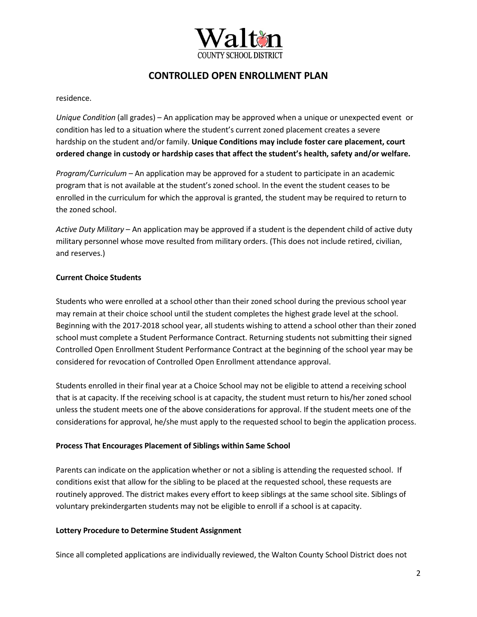

residence.

*Unique Condition* (all grades) – An application may be approved when a unique or unexpected event or condition has led to a situation where the student's current zoned placement creates a severe hardship on the student and/or family. **Unique Conditions may include foster care placement, court ordered change in custody or hardship cases that affect the student's health, safety and/or welfare.**

*Program/Curriculum* – An application may be approved for a student to participate in an academic program that is not available at the student's zoned school. In the event the student ceases to be enrolled in the curriculum for which the approval is granted, the student may be required to return to the zoned school.

*Active Duty Military* – An application may be approved if a student is the dependent child of active duty military personnel whose move resulted from military orders. (This does not include retired, civilian, and reserves.)

### **Current Choice Students**

Students who were enrolled at a school other than their zoned school during the previous school year may remain at their choice school until the student completes the highest grade level at the school. Beginning with the 2017-2018 school year, all students wishing to attend a school other than their zoned school must complete a Student Performance Contract. Returning students not submitting their signed Controlled Open Enrollment Student Performance Contract at the beginning of the school year may be considered for revocation of Controlled Open Enrollment attendance approval.

Students enrolled in their final year at a Choice School may not be eligible to attend a receiving school that is at capacity. If the receiving school is at capacity, the student must return to his/her zoned school unless the student meets one of the above considerations for approval. If the student meets one of the considerations for approval, he/she must apply to the requested school to begin the application process.

### **Process That Encourages Placement of Siblings within Same School**

Parents can indicate on the application whether or not a sibling is attending the requested school. If conditions exist that allow for the sibling to be placed at the requested school, these requests are routinely approved. The district makes every effort to keep siblings at the same school site. Siblings of voluntary prekindergarten students may not be eligible to enroll if a school is at capacity.

### **Lottery Procedure to Determine Student Assignment**

Since all completed applications are individually reviewed, the Walton County School District does not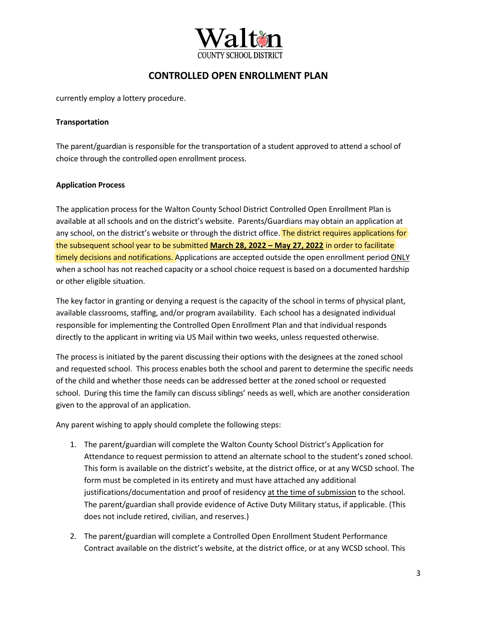

currently employ a lottery procedure.

#### **Transportation**

The parent/guardian is responsible for the transportation of a student approved to attend a school of choice through the controlled open enrollment process.

### **Application Process**

The application process for the Walton County School District Controlled Open Enrollment Plan is available at all schools and on the district's website. Parents/Guardians may obtain an application at any school, on the district's website or through the district office. The district requires applications for the subsequent school year to be submitted **March 28, 2022 – May 27, 2022** in order to facilitate timely decisions and notifications. Applications are accepted outside the open enrollment period ONLY when a school has not reached capacity or a school choice request is based on a documented hardship or other eligible situation.

The key factor in granting or denying a request is the capacity of the school in terms of physical plant, available classrooms, staffing, and/or program availability. Each school has a designated individual responsible for implementing the Controlled Open Enrollment Plan and that individual responds directly to the applicant in writing via US Mail within two weeks, unless requested otherwise.

The process is initiated by the parent discussing their options with the designees at the zoned school and requested school. This process enables both the school and parent to determine the specific needs of the child and whether those needs can be addressed better at the zoned school or requested school. During this time the family can discuss siblings' needs as well, which are another consideration given to the approval of an application.

Any parent wishing to apply should complete the following steps:

- 1. The parent/guardian will complete the Walton County School District's Application for Attendance to request permission to attend an alternate school to the student's zoned school. This form is available on the district's website, at the district office, or at any WCSD school. The form must be completed in its entirety and must have attached any additional justifications/documentation and proof of residency at the time of submission to the school. The parent/guardian shall provide evidence of Active Duty Military status, if applicable. (This does not include retired, civilian, and reserves.)
- 2. The parent/guardian will complete a Controlled Open Enrollment Student Performance Contract available on the district's website, at the district office, or at any WCSD school. This